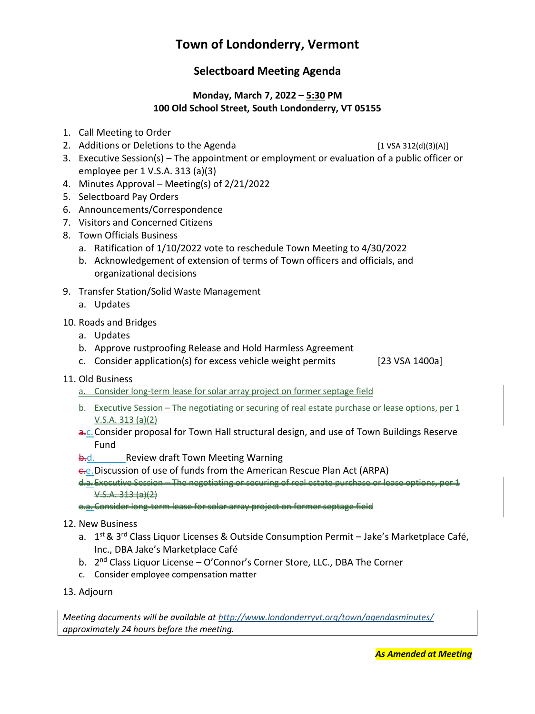# **Town of Londonderry, Vermont**

# **Selectboard Meeting Agenda**

#### **Monday, March 7, 2022 – 5:30 PM 100 Old School Street, South Londonderry, VT 05155**

- 1. Call Meeting to Order
- 2. Additions or Deletions to the Agenda [1 VSA 312(d)(3)(A)]

- 3. Executive Session(s) The appointment or employment or evaluation of a public officer or employee per 1 V.S.A. 313 (a)(3)
- 4. Minutes Approval Meeting(s) of 2/21/2022
- 5. Selectboard Pay Orders
- 6. Announcements/Correspondence
- 7. Visitors and Concerned Citizens
- 8. Town Officials Business
	- a. Ratification of 1/10/2022 vote to reschedule Town Meeting to 4/30/2022
	- b. Acknowledgement of extension of terms of Town officers and officials, and organizational decisions
- 9. Transfer Station/Solid Waste Management
	- a. Updates
- 10. Roads and Bridges
	- a. Updates
	- b. Approve rustproofing Release and Hold Harmless Agreement
	- c. Consider application(s) for excess vehicle weight permits [23 VSA 1400a]
- 11. Old Business
	- a. Consider long-term lease for solar array project on former septage field
	- b. Executive Session The negotiating or securing of real estate purchase or lease options, per 1 V.S.A. 313 (a)(2)
	- a.c. Consider proposal for Town Hall structural design, and use of Town Buildings Reserve Fund
	- **b.d.** Review draft Town Meeting Warning
	- c.e.Discussion of use of funds from the American Rescue Plan Act (ARPA)

d.a. Executive Session – The negotiating or securing of real estate purchase or lease options, per 1  $V.S.A. 313 (a)(2)$ 

e.a. Consider long-term lease for solar array project on former septage field

- 12. New Business
	- a. 1<sup>st</sup> & 3<sup>rd</sup> Class Liquor Licenses & Outside Consumption Permit Jake's Marketplace Café, Inc., DBA Jake's Marketplace Café
	- b. 2<sup>nd</sup> Class Liquor License O'Connor's Corner Store, LLC., DBA The Corner
	- c. Consider employee compensation matter
- 13. Adjourn

*Meeting documents will be available at <http://www.londonderryvt.org/town/agendasminutes/> approximately 24 hours before the meeting.*

*As Amended at Meeting*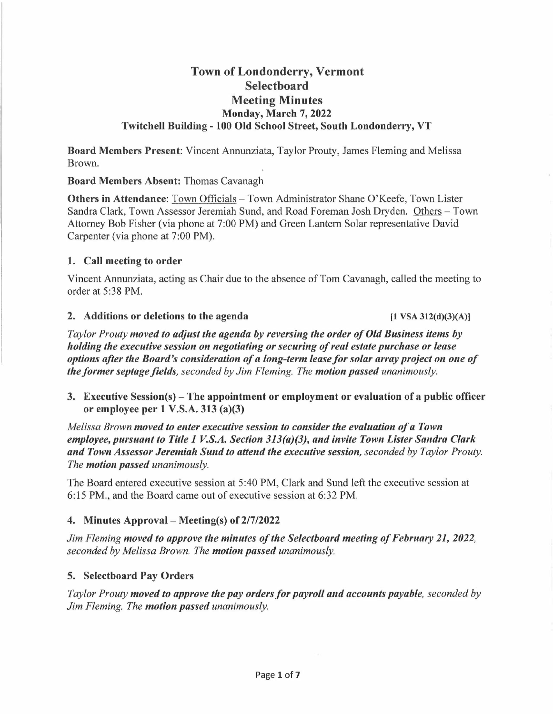# **Town of Londonderry, Vermont Selectboard Meeting Minutes Monday, March 7, 2022 Twitchell Building - 100 Old School Street, South Londonderry, VT**

**Board Members Present:** Vincent Annunziata, Taylor Prouty, James Fleming and Melissa Brown.

**Board Members Absent:** Thomas Cavanagh

**Others in Attendance:** Town Officials - Town Administrator Shane O'Keefe, Town Lister Sandra Clark, Town Assessor Jeremiah Sund, and Road Foreman Josh Dryden. Others - Town Attorney Bob Fisher (via phone at 7:00 PM) and Green Lantern Solar representative David Carpenter (via phone at 7:00 PM).

#### **1. Call meeting to order**

Vincent Annunziata, acting as Chair due to the absence of Tom Cavanagh, called the meeting to order at 5:38 PM.

#### **2. Additions or deletions to the agenda (1 VSA 312(d)(3)(A)l**

*Taylor Prouty moved to adjust the agenda by reversing the order of Old Business items by holding the executive session on negotiating or securing of real estate purchase or lease options after the Board's consideration of a long-term lease for solar array project on one of the former septage fields, seconded by Jim Fleming. The motion passed unanimously.* 

**3. Executive Session(s)-The appointment or employment or evaluation of a public officer or employee per 1 V.S.A. 313 (a)(3)** 

*Melissa Brown moved to enter executive session to consider the evaluation of a Town employee, pursuant to Title 1 V.S.A. Section 313(a)(3), and invite Town Lister Sandra Clark and Town Assessor Jeremiah Sund to attend the executive session, seconded by Taylor Prouty. The motion passed unanimously.* 

The Board entered executive session at 5:40 PM, Clark and Sund left the executive session at 6:15 PM., and the Board came out of executive session at 6:32 PM.

#### **4. Minutes Approval- Meeting(s) of 2/7/2022**

*Jim Fleming moved to approve the minutes of the Selectboard meeting of February 21, 2022, seconded by Melissa Brown. The motion passed unanimously.* 

#### **5. Selectboard Pay Orders**

*Taylor Prouty moved to approve the pay orders for payroll and accounts payable, seconded by Jim Fleming. The motion passed unanimously.*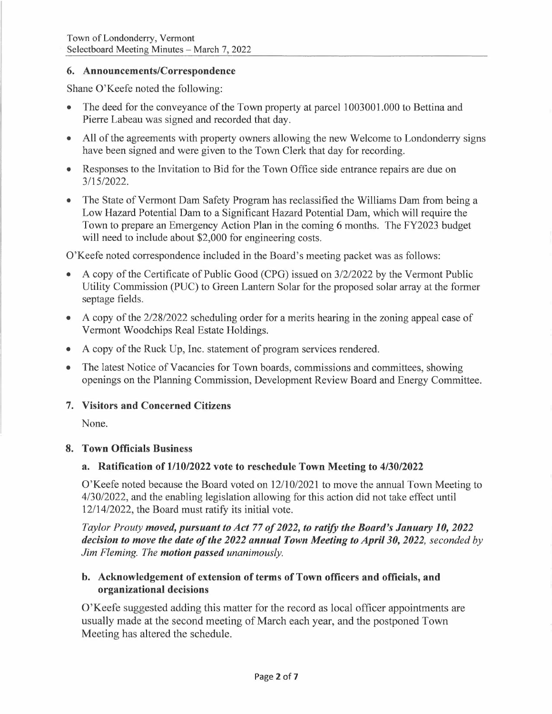#### **6. Announcements/Correspondence**

Shane O'Keefe noted the following:

- The deed for the conveyance of the Town property at parcel 1003001.000 to Bettina and Pierre Labeau was signed and recorded that day.
- All of the agreements with property owners allowing the new Welcome to Londonderry signs have been signed and were given to the Town Clerk that day for recording.
- Responses to the Invitation to Bid for the Town Office side entrance repairs are due on 3/15/2022.
- The State of Vermont Dam Safety Program has reclassified the Williams Dam from being a Low Hazard Potential Dam to a Significant Hazard Potential Dam, which will require the Town to prepare an Emergency Action Plan in the coming 6 months. The FY2023 budget will need to include about \$2,000 for engineering costs.

O'Keefe noted correspondence included in the Board's meeting packet was as follows:

- A copy of the Certificate of Public Good (CPG) issued on 3/2/2022 by the Vermont Public Utility Commission (PUC) to Green Lantern Solar for the proposed solar array at the former septage fields.
- A copy of the 2/28/2022 scheduling order for a merits hearing in the zoning appeal case of Vermont Woodchips Real Estate Holdings.
- A copy of the Ruck Up, Inc. statement of program services rendered.
- The latest Notice of Vacancies for Town boards, commissions and committees, showing openings on the Planning Commission, Development Review Board and Energy Committee.

# **7. Visitors and Concerned Citizens**

None.

# **8. Town Officials Business**

# **a. Ratification of 1/10/2022 vote to reschedule Town Meeting to 4/30/2022**

O'Keefe noted because the Board voted on 12/10/2021 to move the annual Town Meeting to 4/30/2022, and the enabling legislation allowing for this action did not take effect until 12/14/2022, the Board must ratify its initial vote.

*Taylor Prouty moved, pursuant to Act* **77** *of 2022, to ratify the Board's January 10, 2022 decision to move the date of the 2022 annual Town Meeting to April 30, 2022, seconded by Jim Fleming. The motion passed unanimously.* 

# **b. Acknowledgement of extension of terms of Town officers and officials, and organizational decisions**

O'Keefe suggested adding this matter for the record as local officer appointments are usually made at the second meeting of March each year, and the postponed Town Meeting has altered the schedule.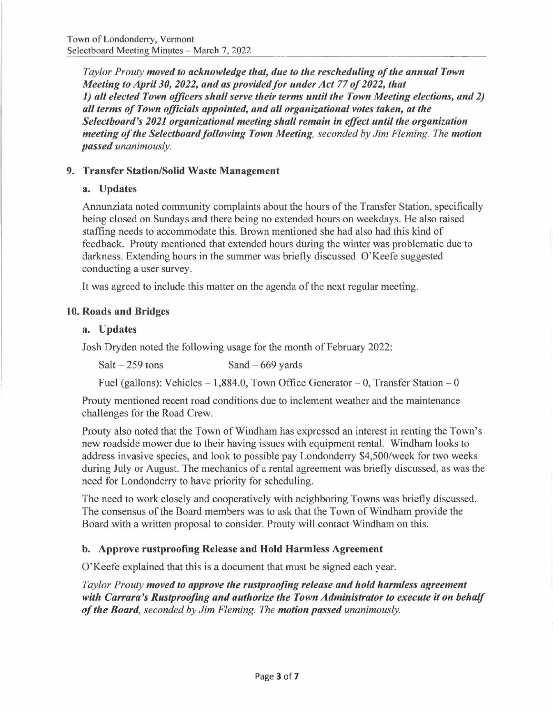*Taylor Prouty moved to acknowledge that, due to the rescheduling of the annual Town Meeting to April 30, 2022, and as provided for under Act 77 of 2022, that 1) all elected Town officers shall serve their terms until the Town Meeting elections, and 2) all terms of Town officials appointed, and all organizational votes taken, at the Selectboard's 2021 organizational meeting shall remain in effect until the organization meeting of the Selectboard following Town Meeting, seconded by Jim Fleming. The motion passed unanimously.* 

# **9. Transfer Station/Solid Waste Management**

# **a. Updates**

Annunziata noted community complaints about the hours of the Transfer Station, specifically being closed on Sundays and there being no extended hours on weekdays. He also raised staffing needs to accommodate this. Brown mentioned she had also had this kind of feedback. Prouty mentioned that extended hours during the winter was problematic due to darkness. Extending hours in the summer was briefly discussed. O'Keefe suggested conducting a user survey.

It was agreed to include this matter on the agenda of the next regular meeting.

# **10. Roads and Bridges**

#### **a. Updates**

Josh Dryden noted the following usage for the month of February 2022:

| $Salt - 259$ tons | Sand $-669$ yards |
|-------------------|-------------------|
|                   |                   |

Fuel (gallons): Vehicles  $-1,884.0$ , Town Office Generator  $-0$ , Transfer Station  $-0$ 

Prouty mentioned recent road conditions due to inclement weather and the maintenance challenges for the Road Crew.

Prouty also noted that the Town of Windham has expressed an interest in renting the Town's new roadside mower due to their having issues with equipment rental. Windham looks to address invasive species, and look to possible pay Londonderry \$4,500/week for two weeks during July or August. The mechanics of a rental agreement was briefly discussed, as was the need for Londonderry to have priority for scheduling.

The need to work closely and cooperatively with neighboring Towns was briefly discussed. The consensus of the Board members was to ask that the Town of Windham provide the Board with a written proposal to consider. Prouty will contact Windham on this.

# **b. Approve rustproofing Release and Hold Harmless Agreement**

O'Keefe explained that this is a document that must be signed each year.

*Taylor Prouty moved to approve the rustproofing release and hold harmless agreement with Carrara 's Rustproofing and authorize the Town Administrator to execute it on behalf of the Board, seconded by Jim Fleming. The motion passed unanimously.*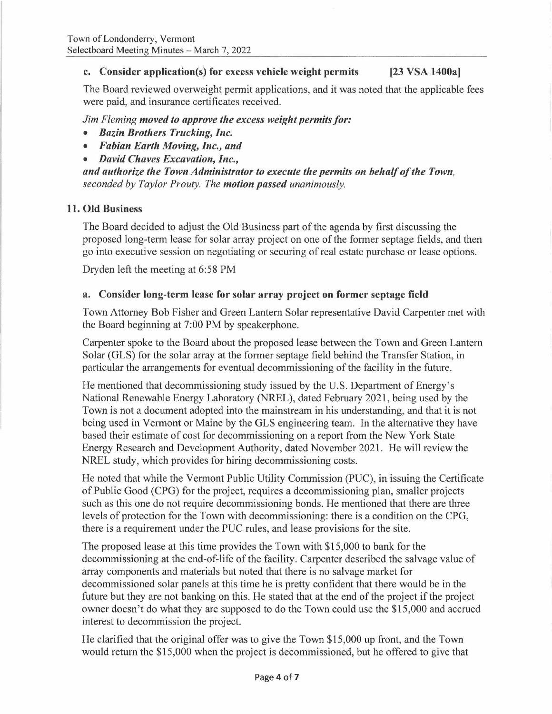# **c. Consider application(s) for excess vehicle weight permits [23 VSA 1400a]**

The Board reviewed overweight permit applications, and it was noted that the applicable fees were paid, and insurance certificates received.

*Jim Fleming moved to approve the excess weight permits for:* 

- *Bazin Brothers Trucking, Inc.*
- *Fabian Earth Moving, Inc., and*
- *David Chaves Excavation, Inc.,*

*and authorize the Town Administrator to execute the permits on behalf of the Town, seconded by Taylor Prouty. The motion passed unanimously.* 

# **11. Old Business**

The Board decided to adjust the Old Business part of the agenda by first discussing the proposed long-term lease for solar array project on one of the former septage fields, and then go into executive session on negotiating or securing of real estate purchase or lease options.

Dryden left the meeting at 6:58 PM

# **a. Consider long-term lease for solar array project on former septage field**

Town Attorney Bob Fisher and Green Lantern Solar representative David Carpenter met with the Board beginning at 7:00 PM by speakerphone.

Carpenter spoke to the Board about the proposed lease between the Town and Green Lantern Solar (GLS) for the solar array at the former septage field behind the Transfer Station, in particular the arrangements for eventual decommissioning of the facility in the future.

He mentioned that decommissioning study issued by the U.S. Department of Energy's National Renewable Energy Laboratory (NREL), dated February 2021, being used by the Town is not a document adopted into the mainstream in his understanding, and that it is not being used in Vermont or Maine by the GLS engineering team. In the alternative they have based their estimate of cost for decommissioning on a report from the New York State Energy Research and Development Authority, dated November 2021. He will review the NREL study, which provides for hiring decommissioning costs.

He noted that while the Vermont Public Utility Commission (PUC), in issuing the Certificate of Public Good (CPG) for the project, requires a decommissioning plan, smaller projects such as this one do not require decommissioning bonds. He mentioned that there are three levels of protection for the Town with decommissioning: there is a condition on the CPG, there is a requirement under the PUC rules, and lease provisions for the site.

The proposed lease at this time provides the Town with \$15,000 to bank for the decommissioning at the end-of-life of the facility. Carpenter described the salvage value of array components and materials but noted that there is no salvage market for decommissioned solar panels at this time he is pretty confident that there would be in the future but they are not banking on this. He stated that at the end of the project if the project owner doesn't do what they are supposed to do the Town could use the \$15,000 and accrued interest to decommission the project.

He clarified that the original offer was to give the Town \$15,000 up front, and the Town would return the \$15,000 when the project is decommissioned, but he offered to give that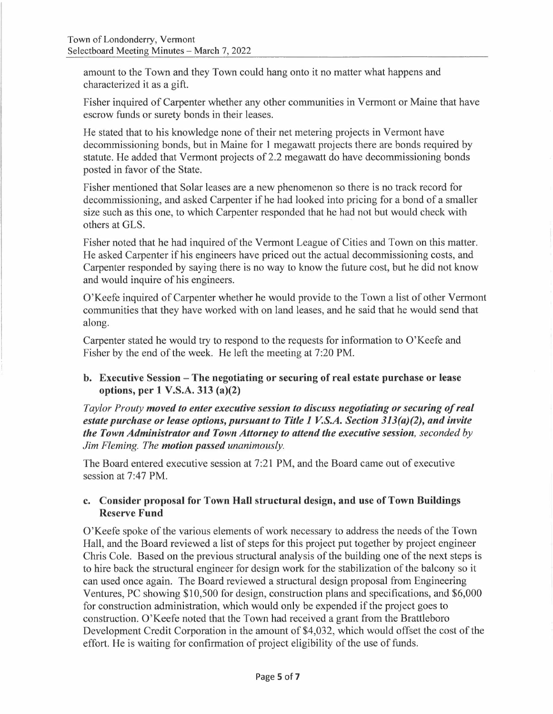amount to the Town and they Town could hang onto it no matter what happens and characterized it as a gift.

Fisher inquired of Carpenter whether any other communities in Vermont or Maine that have escrow funds or surety bonds in their leases.

He stated that to his knowledge none of their net metering projects in Vermont have decommissioning bonds, but in Maine for 1 megawatt projects there are bonds required by statute. He added that Vermont projects of 2.2 megawatt do have decommissioning bonds posted in favor of the State.

Fisher mentioned that Solar leases are a new phenomenon so there is no track record for decommissioning, and asked Carpenter if he had looked into pricing for a bond of a smaller size such as this one, to which Carpenter responded that he had not but would check with others at GLS.

Fisher noted that he had inquired of the Vermont League of Cities and Town on this matter. He asked Carpenter if his engineers have priced out the actual decommissioning costs, and Carpenter responded by saying there is no way to know the future cost, but he did not know and would inquire of his engineers.

0' Keefe inquired of Carpenter whether he would provide to the Town a list of other Vermont communities that they have worked with on land leases, and he said that he would send that along.

Carpenter stated he would try to respond to the requests for information to O'Keefe and Fisher by the end of the week. He left the meeting at 7:20 PM.

# **b. Executive Session - The negotiating or securing of real estate purchase or lease options, per 1 V.S.A. 313 (a)(2)**

*Taylor Prouty moved to enter executive session to discuss negotiating or securing of real estate purchase or lease options, pursuant to Title 1 V.S.A. Section 313(a)(2), and invite the Town Administrator and Town Attorney to attend the executive session, seconded by Jim Fleming. The motion passed unanimously.* 

The Board entered executive session at 7 :21 PM, and the Board came out of executive session at 7:47 PM.

# **c. Consider proposal for Town Hall structural design, and use of Town Buildings Reserve Fund**

O'Keefe spoke of the various elements of work necessary to address the needs of the Town Hall, and the Board reviewed a list of steps for this project put together by project engineer Chris Cole. Based on the previous structural analysis of the building one of the next steps is to hire back the structural engineer for design work for the stabilization of the balcony so it can used once again. The Board reviewed a structural design proposal from Engineering Ventures, PC showing \$10,500 for design, construction plans and specifications, and \$6,000 for construction administration, which would only be expended if the project goes to construction. O'Keefe noted that the Town had received a grant from the Brattleboro Development Credit Corporation in the amount of \$4,032, which would offset the cost of the effort. He is waiting for confirmation of project eligibility of the use of funds.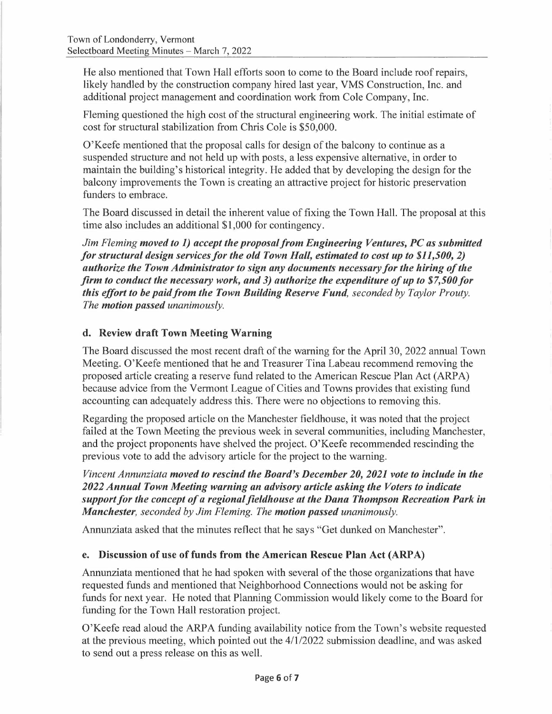He also mentioned that Town Hall efforts soon to come to the Board include roof repairs. likely handled by the construction company hired last year, VMS Construction, Inc. and additional project management and coordination work from Cole Company, Inc.

Fleming questioned the high cost of the structural engineering work. The initial estimate of cost for structural stabilization from Chris Cole is \$50,000.

O'Keefe mentioned that the proposal calls for design of the balcony to continue as a suspended structure and not held up with posts, a less expensive alternative, in order to maintain the building's historical integrity. He added that by developing the design for the balcony improvements the Town is creating an attractive project for historic preservation funders to embrace.

The Board discussed in detail the inherent value of fixing the Town Hall. The proposal at this time also includes an additional \$1,000 for contingency.

*Jim Fleming moved to 1) accept the proposal from Engineering Ventures, PC as submitted for structural design services for the old Town Hall, estimated to cost up to \$11,500, 2) for structural design services for the old Town Hall, estimated to cost up to \$11,500, 2)*<br>authorize the Town Administrator to sign any documents necessary for the hiring of the *firm to conduct the necessary work, and 3) authorize the expenditure of up to \$7,500 for this effort to be paid from the Town Building Reserve Fund, seconded by Taylor Prouty. The motion passed unanimously.* 

# **d. Review draft Town Meeting Warning**

The Board discussed the most recent draft of the warning for the April 30, 2022 annual Town Meeting. O'Keefe mentioned that he and Treasurer Tina Labeau recommend removing the proposed article creating a reserve fund related to the American Rescue Plan Act (ARP A) because advice from the Vermont League of Cities and Towns provides that existing fund accounting can adequately address this. There were no objections to removing this.

Regarding the proposed article on the Manchester fieldhouse, it was noted that the project failed at the Town Meeting the previous week in several communities, including Manchester, and the project proponents have shelved the project. O'Keefe recommended rescinding the previous vote to add the advisory article for the project to the warning.

*Vincent Annunziata moved to rescind the Board's December 20, 2021 vote to include in the 2022 Annual Town Meeting warning an advisory article asking the Voters to indicate support for the concept of a regional fieldhouse at the Dana Thompson Recreation Park in Manchester, seconded by Jim Fleming. The motion passed unanimously.* 

Annunziata asked that the minutes reflect that he says "Get dunked on Manchester".

#### **e. Discussion of use of funds from the American Rescue Plan Act (ARP A)**

Annunziata mentioned that he had spoken with several of the those organizations that have requested funds and mentioned that Neighborhood Connections would not be asking for funds for next year. He noted that Planning Commission would likely come to the Board for funding for the Town Hall restoration project.

O'Keefe read aloud the ARPA funding availability notice from the Town's website requested at the previous meeting, which pointed out the 4/1/2022 submission deadline, and was asked to send out a press release on this as well.